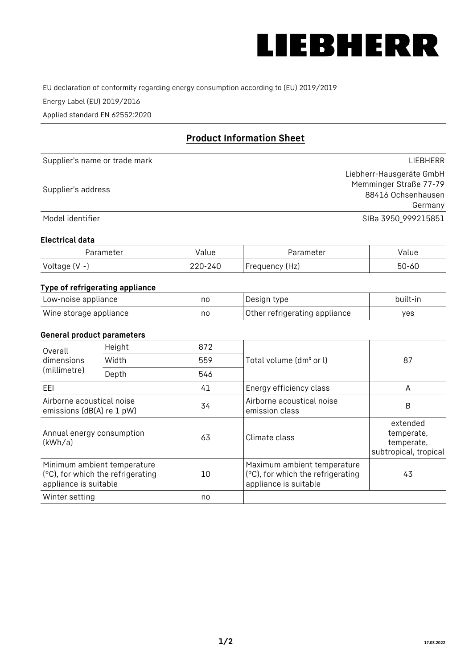

EU declaration of conformity regarding energy consumption according to (EU) 2019/2019

Energy Label (EU) 2019/2016

Applied standard EN 62552:2020

# **Product Information Sheet**

| Supplier's name or trade mark | <b>LIFBHFRR</b>          |
|-------------------------------|--------------------------|
|                               | Liebherr-Hausgeräte GmbH |
| Supplier's address            | Memminger Straße 77-79   |
|                               | 88416 Ochsenhausen       |
|                               | Germany                  |
| Model identifier              | SIBa 3950 999215851      |

#### **Electrical data**

| Parameter          | Value   | Parameter      | alue  |
|--------------------|---------|----------------|-------|
| Voltage $(V \sim)$ | 220-240 | Frequency (Hz) | 50-60 |

# **Type of refrigerating appliance**

| Low-noise appliance    | nc | Design type                   | built-in |
|------------------------|----|-------------------------------|----------|
| Wine storage appliance | nc | Other refrigerating appliance | ves      |

### **General product parameters**

| Height<br>Overall                                      |                                                                  | 872 |                                                                                           |                                                               |
|--------------------------------------------------------|------------------------------------------------------------------|-----|-------------------------------------------------------------------------------------------|---------------------------------------------------------------|
| dimensions<br>(millimetre)                             | Width                                                            | 559 | Total volume (dm <sup>3</sup> or l)                                                       | 87                                                            |
|                                                        | Depth                                                            | 546 |                                                                                           |                                                               |
| EEL                                                    |                                                                  | 41  | Energy efficiency class                                                                   | A                                                             |
| Airborne acoustical noise<br>emissions (dB(A) re 1 pW) |                                                                  | 34  | Airborne acoustical noise<br>emission class                                               | B                                                             |
| Annual energy consumption<br>(kWh/a)                   |                                                                  | 63  | Climate class                                                                             | extended<br>temperate,<br>temperate,<br>subtropical, tropical |
| appliance is suitable                                  | Minimum ambient temperature<br>(°C), for which the refrigerating | 10  | Maximum ambient temperature<br>(°C), for which the refrigerating<br>appliance is suitable | 43                                                            |
| Winter setting                                         |                                                                  | no  |                                                                                           |                                                               |